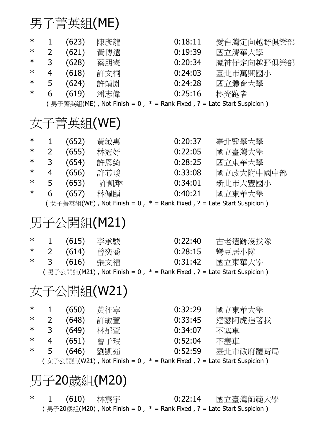### 男子菁英組(ME)

| $\ast$<br>$\ast$<br>$\ast$<br>$\ast$<br>$\ast$<br>$\ast$ | 1<br>$\overline{2}$<br>3<br>$\overline{4}$<br>5<br>6 | (623)<br>(621)<br>(628)<br>(618)<br>(624)<br>(619) | 陳彥龍<br>黃博遠<br>蔡朋憲<br>許文桐<br>許靖胤<br>潘志偉<br>(男子菁英組(ME), Not Finish = 0, * = Rank Fixed, ? = Late Start Suspicion)                     | 0:18:11<br>0:19:39<br>0:20:34<br>0:24:03<br>0:24:28<br>0:25:16 | 愛台灣定向越野俱樂部<br>國立清華大學<br>魔神仔定向越野俱樂部<br>臺北市萬興國小<br>國立體育大學<br>極光跑者 |  |  |
|----------------------------------------------------------|------------------------------------------------------|----------------------------------------------------|-------------------------------------------------------------------------------------------------------------------------------------|----------------------------------------------------------------|-----------------------------------------------------------------|--|--|
| 女子菁英組(WE)                                                |                                                      |                                                    |                                                                                                                                     |                                                                |                                                                 |  |  |
| $\ast$<br>$\ast$<br>$\ast$<br>$\ast$<br>$\ast$<br>∗      | 1<br>$\overline{2}$<br>3<br>4<br>5<br>6              | (652)<br>(655)<br>(657)                            | 黃敏惠<br>林冠妤<br>(654) 許恩綺<br>(656) 許芯瑗<br>(653) 許凱琳<br>林佩頤<br>(女子菁英組(WE), Not Finish = 0, * = Rank Fixed, ? = Late Start Suspicion)   | 0:20:37<br>0:22:05<br>0:28:25<br>0:33:08<br>0:34:01<br>0:40:21 | 臺北醫學大學<br>國立臺灣大學<br>國立東華大學<br>國立政大附中國中部<br>新北市大豐國小<br>國立東華大學    |  |  |
| 男子公開組(M21)                                               |                                                      |                                                    |                                                                                                                                     |                                                                |                                                                 |  |  |
| $\ast$<br>$\ast$<br>$\ast$                               | 1<br>$\overline{2}$<br>3                             | (615)<br>(614)<br>(616)                            | 李承駿<br>曾奕喬<br>張文福<br>(男子公開組(M21), Not Finish = 0, * = Rank Fixed, ? = Late Start Suspicion)                                         | 0:22:40<br>0:28:15<br>0:31:42                                  | 古老遺跡沒找隊<br>彎豆居小隊<br>國立東華大學                                      |  |  |
| 女子公開組(W21)                                               |                                                      |                                                    |                                                                                                                                     |                                                                |                                                                 |  |  |
| $\ast$<br>$\ast$<br>$\ast$<br>$\ast$<br>$\ast$           | $\overline{2}$<br>3 <sup>7</sup><br>4<br>5           | (650)                                              | 黃征寧<br>(648) 許敏萱<br>(649) 林郁萱<br>(651) 曾子珉<br>(646) 劉凱茹<br>(女子公開組(W21), Not Finish = 0, $*$ = Rank Fixed, ? = Late Start Suspicion) | 0:32:29<br>0:33:45<br>0:34:07<br>0:52:04<br>0:52:59            | 國立東華大學<br>達瑟阿虎追著我<br>不塞車<br>不塞車<br>臺北市政府體育局                     |  |  |
| 男子20歲組(M20)                                              |                                                      |                                                    |                                                                                                                                     |                                                                |                                                                 |  |  |
| ∗                                                        | 1                                                    | (610)                                              | 林宸宇                                                                                                                                 | 0:22:14                                                        | 國立臺灣師範大學                                                        |  |  |

(男子20歲組(M20), Not Finish = 0,  $*$  = Rank Fixed, ? = Late Start Suspicion)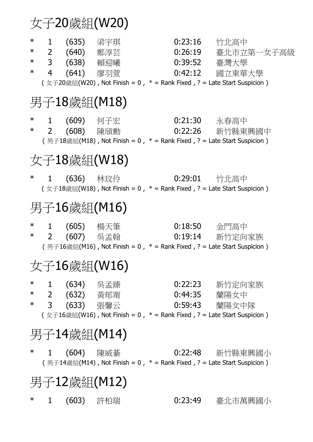# 女子20歲組(W20)

| $\ast$<br>$\ast$<br>$\ast$<br>$\ast$ | $\mathbf{1}$<br>$\overline{4}$ | (635) 梁宇琪<br>2 (640) 鄭淳芸<br>3 (638) 賴迎曦<br>(641) 廖羽菅 | 0:39:52<br>( $\text{\textcircled{x}}\neq-20$ 歲組(W20), Not Finish = 0, $*$ = Rank Fixed, ? = Late Start Suspicion) | 0:23:16<br>0:26:19<br>0:42:12 | 竹北高中<br>臺北市立第一女子高級<br>臺灣大學<br>國立東華大學 |  |  |  |
|--------------------------------------|--------------------------------|------------------------------------------------------|-------------------------------------------------------------------------------------------------------------------|-------------------------------|--------------------------------------|--|--|--|
| 男子18歲組(M18)                          |                                |                                                      |                                                                                                                   |                               |                                      |  |  |  |
| $\star$                              |                                | 1 (609) 何子宏<br>* 2 (608) 陳頎勳                         | (男子18歲組(M18), Not Finish = 0, $*$ = Rank Fixed, ? = Late Start Suspicion)                                         | 0:21:30 永春高中                  | 0:22:26 新竹縣東興國中                      |  |  |  |
| 女子18歲組(W18)                          |                                |                                                      |                                                                                                                   |                               |                                      |  |  |  |
| $\ast$                               |                                | 1 (636) 林玟伶                                          | 0:29:01  竹北高中<br>( 女子18歲組(W18), Not Finish = 0, $*$ = Rank Fixed, ? = Late Start Suspicion)                       |                               |                                      |  |  |  |
| 男子16歲組(M16)                          |                                |                                                      |                                                                                                                   |                               |                                      |  |  |  |
| $\ast$                               | $2^{\circ}$                    | *  1 (605) 楊天筆<br>(607) 吳孟翰                          | (男子16歲組(M16), Not Finish = 0, $*$ = Rank Fixed, ? = Late Start Suspicion)                                         | $0:18:50$ 金門高中                | 0:19:14 新竹定向家族                       |  |  |  |
| 女子16歲組(W16)                          |                                |                                                      |                                                                                                                   |                               |                                      |  |  |  |
| $\ast$<br>$\ast$<br>$\ast$           | 3 <sup>7</sup>                 | (634)  吳孟臻<br>2 (632) 黃郁甯<br>(633) 張馨云               | ( $\text{\textcircled{x}}\neq 16$ 歲組(W16), Not Finish = 0, $*$ = Rank Fixed, ? = Late Start Suspicion)            | 0:22:23<br>0:44:35<br>0:59:43 | 新竹定向家族<br>蘭陽女中<br>蘭陽女中隊              |  |  |  |
| 男子14歲組(M14)                          |                                |                                                      |                                                                                                                   |                               |                                      |  |  |  |
| $\ast$                               | $\mathbf 1$                    | (604) 陳威綦                                            | (男子14歲組(M14), Not Finish = 0, $*$ = Rank Fixed, ? = Late Start Suspicion)                                         | 0:22:48                       | 新竹縣東興國小                              |  |  |  |
| 男子12歲組(M12)                          |                                |                                                      |                                                                                                                   |                               |                                      |  |  |  |
| $\ast$                               | 1                              | (603) 許柏瑞                                            |                                                                                                                   | 0:23:49                       | 臺北市萬興國小                              |  |  |  |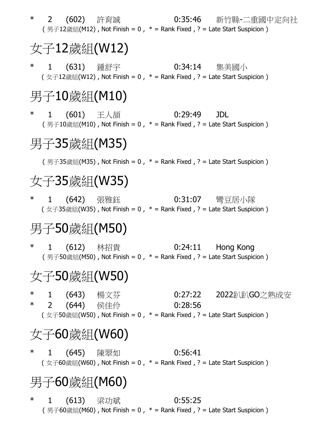\* 2 (602) 許育誠 0:35:46 新竹縣-二重國中定向社 (男子12歲組(M12), Not Finish = 0,  $*$  = Rank Fixed, ? = Late Start Suspicion) 女子12歲組(W12) \* 1 (631) 鍾舒宇 0:34:14 集美國小 (  $\text{\textsterling}}+12$ 歲組(W12), Not Finish = 0,  $*$  = Rank Fixed, ? = Late Start Suspicion) 男子10歲組(M10) \* 1 (601) 王人頡 0:29:49 JDL (男子10歲組(M10), Not Finish = 0,  $*$  = Rank Fixed, ? = Late Start Suspicion) 男子35歲組(M35) (男子35歲組(M35), Not Finish = 0,  $*$  = Rank Fixed, ? = Late Start Suspicion) 女子35歲組(W35) \* 1 (642) 張雅鈺 0:31:07 彎豆居小隊 ( 女子35歲組(W35), Not Finish = 0,  $*$  = Rank Fixed, ? = Late Start Suspicion) 男子50歲組(M50) \* 1 (612) 林招貴 0:24:11 Hong Kong (男子50歲組(M50), Not Finish = 0,  $*$  = Rank Fixed, ? = Late Start Suspicion) 女子50歲組(W50) \* 1 (643) 楊文芬 0:27:22 2022趴趴GO之熟成安<br>\* 2 (644) 侯佳伶 0:28:56 (644) 侯佳仱 0:28:56 ( 女子50歲組(W50), Not Finish = 0,  $*$  = Rank Fixed, ? = Late Start Suspicion) 女子60歳組(W60)

\* 1 (645) 陳翠如 0:56:41 ( 女子60歲組(W60), Not Finish = 0,  $*$  = Rank Fixed, ? = Late Start Suspicion)

# 男子60歲組(M60)

\* 1 (613) 梁功斌 0:55:25 (男子60歲組(M60), Not Finish = 0,  $*$  = Rank Fixed, ? = Late Start Suspicion)